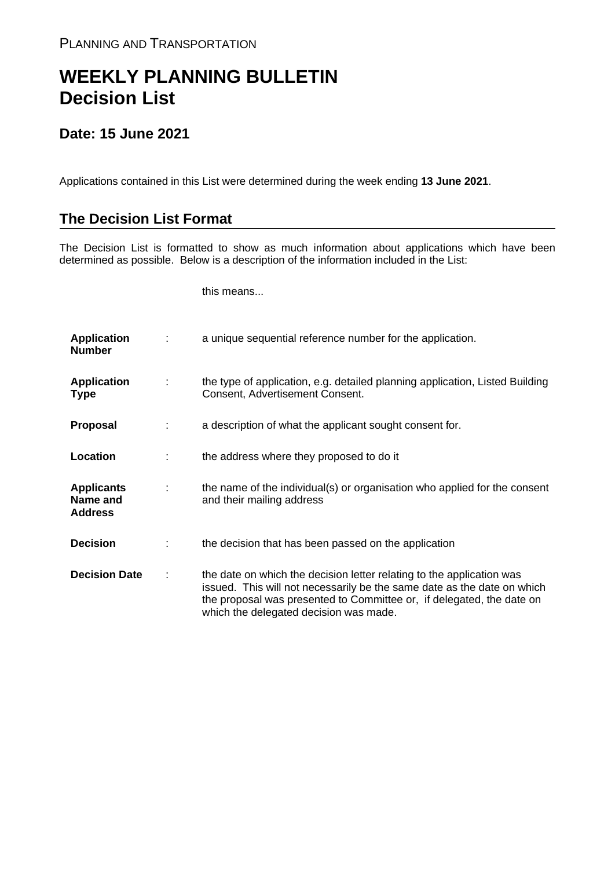## **WEEKLY PLANNING BULLETIN Decision List**

## **Date: 15 June 2021**

Applications contained in this List were determined during the week ending **13 June 2021**.

## **The Decision List Format**

The Decision List is formatted to show as much information about applications which have been determined as possible. Below is a description of the information included in the List:

this means...

| <b>Application</b><br><b>Number</b>             |   | a unique sequential reference number for the application.                                                                                                                                                                                                           |
|-------------------------------------------------|---|---------------------------------------------------------------------------------------------------------------------------------------------------------------------------------------------------------------------------------------------------------------------|
| <b>Application</b><br><b>Type</b>               | ÷ | the type of application, e.g. detailed planning application, Listed Building<br>Consent, Advertisement Consent.                                                                                                                                                     |
| <b>Proposal</b>                                 |   | a description of what the applicant sought consent for.                                                                                                                                                                                                             |
| Location                                        |   | the address where they proposed to do it                                                                                                                                                                                                                            |
| <b>Applicants</b><br>Name and<br><b>Address</b> | ÷ | the name of the individual(s) or organisation who applied for the consent<br>and their mailing address                                                                                                                                                              |
| <b>Decision</b>                                 |   | the decision that has been passed on the application                                                                                                                                                                                                                |
| <b>Decision Date</b>                            |   | the date on which the decision letter relating to the application was<br>issued. This will not necessarily be the same date as the date on which<br>the proposal was presented to Committee or, if delegated, the date on<br>which the delegated decision was made. |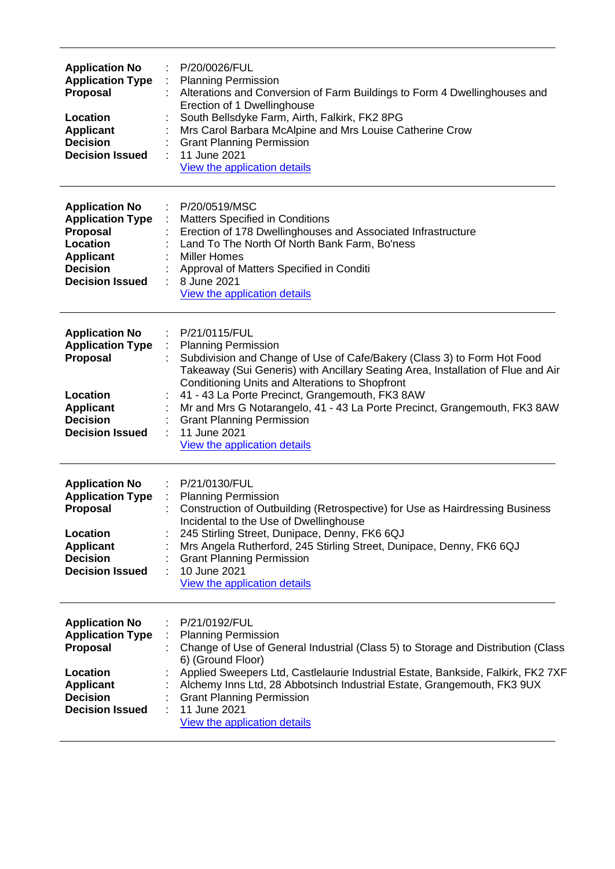| <b>Application No</b><br><b>Application Type</b><br>Proposal<br>Location<br><b>Applicant</b><br><b>Decision</b><br><b>Decision Issued</b>        | P/20/0026/FUL<br><b>Planning Permission</b><br>÷<br>Alterations and Conversion of Farm Buildings to Form 4 Dwellinghouses and<br>Erection of 1 Dwellinghouse<br>South Bellsdyke Farm, Airth, Falkirk, FK2 8PG<br>Mrs Carol Barbara McAlpine and Mrs Louise Catherine Crow<br><b>Grant Planning Permission</b><br>11 June 2021<br>View the application details                                                                                                                     |
|--------------------------------------------------------------------------------------------------------------------------------------------------|-----------------------------------------------------------------------------------------------------------------------------------------------------------------------------------------------------------------------------------------------------------------------------------------------------------------------------------------------------------------------------------------------------------------------------------------------------------------------------------|
| <b>Application No</b><br><b>Application Type</b><br>Proposal<br>Location<br><b>Applicant</b><br><b>Decision</b><br><b>Decision Issued</b>        | P/20/0519/MSC<br>Matters Specified in Conditions<br>Erection of 178 Dwellinghouses and Associated Infrastructure<br>Land To The North Of North Bank Farm, Bo'ness<br><b>Miller Homes</b><br>Approval of Matters Specified in Conditi<br>8 June 2021<br>View the application details                                                                                                                                                                                               |
| <b>Application No</b><br><b>Application Type</b><br>Proposal<br>Location<br><b>Applicant</b><br><b>Decision</b><br><b>Decision Issued</b>        | P/21/0115/FUL<br><b>Planning Permission</b><br>Subdivision and Change of Use of Cafe/Bakery (Class 3) to Form Hot Food<br>Takeaway (Sui Generis) with Ancillary Seating Area, Installation of Flue and Air<br>Conditioning Units and Alterations to Shopfront<br>41 - 43 La Porte Precinct, Grangemouth, FK3 8AW<br>Mr and Mrs G Notarangelo, 41 - 43 La Porte Precinct, Grangemouth, FK3 8AW<br><b>Grant Planning Permission</b><br>11 June 2021<br>View the application details |
| <b>Application No</b><br><b>Application Type</b><br>Proposal<br>Location<br><b>Applicant</b><br><b>Decision</b><br><b>Decision Issued</b>        | : P/21/0130/FUL<br>: Planning Permission<br>Construction of Outbuilding (Retrospective) for Use as Hairdressing Business<br>Incidental to the Use of Dwellinghouse<br>245 Stirling Street, Dunipace, Denny, FK6 6QJ<br>Mrs Angela Rutherford, 245 Stirling Street, Dunipace, Denny, FK6 6QJ<br><b>Grant Planning Permission</b><br>10 June 2021<br>View the application details                                                                                                   |
| <b>Application No</b><br><b>Application Type</b><br><b>Proposal</b><br>Location<br><b>Applicant</b><br><b>Decision</b><br><b>Decision Issued</b> | P/21/0192/FUL<br><b>Planning Permission</b><br>Change of Use of General Industrial (Class 5) to Storage and Distribution (Class<br>6) (Ground Floor)<br>Applied Sweepers Ltd, Castlelaurie Industrial Estate, Bankside, Falkirk, FK2 7XF<br>Alchemy Inns Ltd, 28 Abbotsinch Industrial Estate, Grangemouth, FK3 9UX<br><b>Grant Planning Permission</b><br>11 June 2021<br>View the application details                                                                           |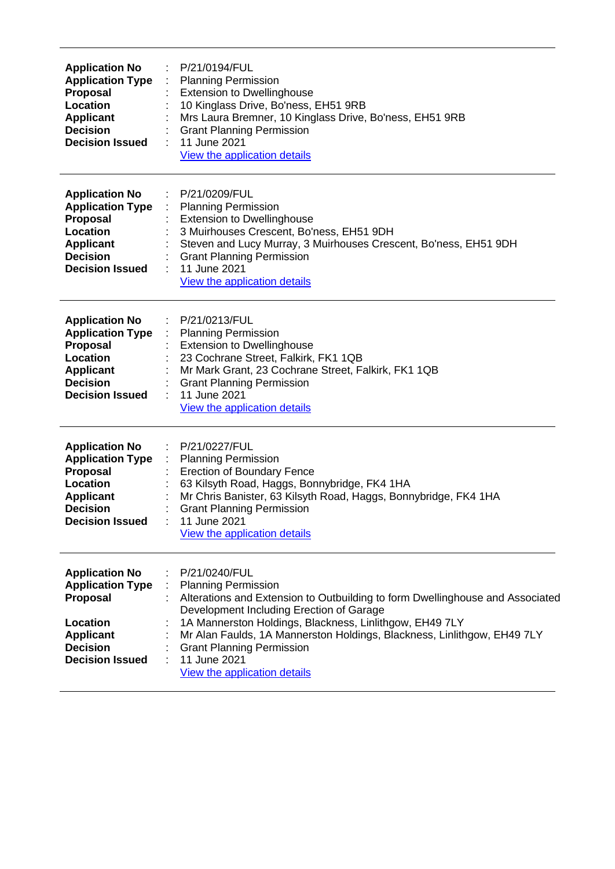| <b>Application No</b><br><b>Application Type</b><br><b>Proposal</b><br>Location<br><b>Applicant</b><br><b>Decision</b><br><b>Decision Issued</b> | P/21/0194/FUL<br><b>Planning Permission</b><br><b>Extension to Dwellinghouse</b><br>10 Kinglass Drive, Bo'ness, EH51 9RB<br>Mrs Laura Bremner, 10 Kinglass Drive, Bo'ness, EH51 9RB<br><b>Grant Planning Permission</b><br>11 June 2021<br><b>View the application details</b>                                                                                                                     |
|--------------------------------------------------------------------------------------------------------------------------------------------------|----------------------------------------------------------------------------------------------------------------------------------------------------------------------------------------------------------------------------------------------------------------------------------------------------------------------------------------------------------------------------------------------------|
| <b>Application No</b><br><b>Application Type</b><br><b>Proposal</b><br>Location<br><b>Applicant</b><br><b>Decision</b><br><b>Decision Issued</b> | P/21/0209/FUL<br><b>Planning Permission</b><br><b>Extension to Dwellinghouse</b><br>3 Muirhouses Crescent, Bo'ness, EH51 9DH<br>Steven and Lucy Murray, 3 Muirhouses Crescent, Bo'ness, EH51 9DH<br><b>Grant Planning Permission</b><br>11 June 2021<br>View the application details                                                                                                               |
| <b>Application No</b><br><b>Application Type</b><br><b>Proposal</b><br>Location<br><b>Applicant</b><br><b>Decision</b><br><b>Decision Issued</b> | P/21/0213/FUL<br><b>Planning Permission</b><br><b>Extension to Dwellinghouse</b><br>23 Cochrane Street, Falkirk, FK1 1QB<br>Mr Mark Grant, 23 Cochrane Street, Falkirk, FK1 1QB<br><b>Grant Planning Permission</b><br>11 June 2021<br><b>View the application details</b>                                                                                                                         |
| <b>Application No</b><br><b>Application Type</b><br><b>Proposal</b><br>Location<br><b>Applicant</b><br><b>Decision</b><br><b>Decision Issued</b> | P/21/0227/FUL<br><b>Planning Permission</b><br><b>Erection of Boundary Fence</b><br>63 Kilsyth Road, Haggs, Bonnybridge, FK4 1HA<br>Mr Chris Banister, 63 Kilsyth Road, Haggs, Bonnybridge, FK4 1HA<br><b>Grant Planning Permission</b><br>11 June 2021<br>View the application details                                                                                                            |
| <b>Application No</b><br><b>Application Type</b><br><b>Proposal</b><br>Location<br><b>Applicant</b><br><b>Decision</b><br><b>Decision Issued</b> | P/21/0240/FUL<br><b>Planning Permission</b><br>Alterations and Extension to Outbuilding to form Dwellinghouse and Associated<br>Development Including Erection of Garage<br>1A Mannerston Holdings, Blackness, Linlithgow, EH49 7LY<br>Mr Alan Faulds, 1A Mannerston Holdings, Blackness, Linlithgow, EH49 7LY<br><b>Grant Planning Permission</b><br>11 June 2021<br>View the application details |